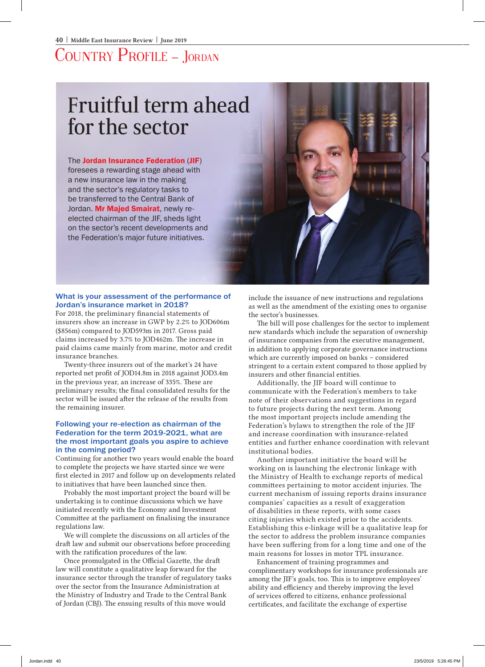## Country Profile – Jordan

# Fruitful term ahead for the sector

#### The Jordan Insurance Federation (JIF)

foresees a rewarding stage ahead with a new insurance law in the making and the sector's regulatory tasks to be transferred to the Central Bank of Jordan. Mr Majed Smairat, newly reelected chairman of the JIF, sheds light on the sector's recent developments and the Federation's major future initiatives.



#### What is your assessment of the performance of Jordan's insurance market in 2018?

For 2018, the preliminary financial statements of insurers show an increase in GWP by 2.2% to JOD606m (\$856m) compared to JOD593m in 2017. Gross paid claims increased by 3.7% to JOD462m. The increase in paid claims came mainly from marine, motor and credit insurance branches.

Twenty-three insurers out of the market's 24 have reported net profit of JOD14.8m in 2018 against JOD3.4m in the previous year, an increase of 335%. These are preliminary results; the final consolidated results for the sector will be issued after the release of the results from the remaining insurer.

#### Following your re-election as chairman of the Federation for the term 2019-2021, what are the most important goals you aspire to achieve in the coming period?

Continuing for another two years would enable the board to complete the projects we have started since we were first elected in 2017 and follow up on developments related to initiatives that have been launched since then.

Probably the most important project the board will be undertaking is to continue discussions which we have initiated recently with the Economy and Investment Committee at the parliament on finalising the insurance regulations law.

We will complete the discussions on all articles of the draft law and submit our observations before proceeding with the ratification procedures of the law.

Once promulgated in the Official Gazette, the draft law will constitute a qualitative leap forward for the insurance sector through the transfer of regulatory tasks over the sector from the Insurance Administration at the Ministry of Industry and Trade to the Central Bank of Jordan (CBJ). The ensuing results of this move would

include the issuance of new instructions and regulations as well as the amendment of the existing ones to organise the sector's businesses.

The bill will pose challenges for the sector to implement new standards which include the separation of ownership of insurance companies from the executive management, in addition to applying corporate governance instructions which are currently imposed on banks – considered stringent to a certain extent compared to those applied by insurers and other financial entities.

Additionally, the JIF board will continue to communicate with the Federation's members to take note of their observations and suggestions in regard to future projects during the next term. Among the most important projects include amending the Federation's bylaws to strengthen the role of the JIF and increase coordination with insurance-related entities and further enhance coordination with relevant institutional bodies.

Another important initiative the board will be working on is launching the electronic linkage with the Ministry of Health to exchange reports of medical committees pertaining to motor accident injuries. The current mechanism of issuing reports drains insurance companies' capacities as a result of exaggeration of disabilities in these reports, with some cases citing injuries which existed prior to the accidents. Establishing this e-linkage will be a qualitative leap for the sector to address the problem insurance companies have been suffering from for a long time and one of the main reasons for losses in motor TPL insurance.

Enhancement of training programmes and complimentary workshops for insurance professionals are among the JIF's goals, too. This is to improve employees' ability and efficiency and thereby improving the level of services offered to citizens, enhance professional certificates, and facilitate the exchange of expertise